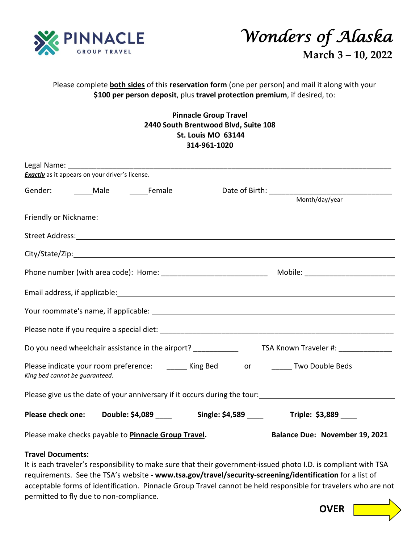



## Please complete **both sides** of this **reservation form** (one per person) and mail it along with your **\$100 per person deposit**, plus **travel protection premium**, if desired, to:

## **Pinnacle Group Travel 2440 South Brentwood Blvd, Suite 108 St. Louis MO 63144 314-961-1020**

| <b>Exactly</b> as it appears on your driver's license.                                                                                                                                                                         |  |  |                                                                                 |
|--------------------------------------------------------------------------------------------------------------------------------------------------------------------------------------------------------------------------------|--|--|---------------------------------------------------------------------------------|
| Gender: Male Female                                                                                                                                                                                                            |  |  | Month/day/year                                                                  |
| Friendly or Nickname: Note and the state of the state of the state of the state of the state of the state of the state of the state of the state of the state of the state of the state of the state of the state of the state |  |  |                                                                                 |
|                                                                                                                                                                                                                                |  |  |                                                                                 |
|                                                                                                                                                                                                                                |  |  |                                                                                 |
|                                                                                                                                                                                                                                |  |  |                                                                                 |
|                                                                                                                                                                                                                                |  |  |                                                                                 |
|                                                                                                                                                                                                                                |  |  |                                                                                 |
|                                                                                                                                                                                                                                |  |  |                                                                                 |
|                                                                                                                                                                                                                                |  |  |                                                                                 |
| Please indicate your room preference: _______ King Bed do do do do ______ Two Double Beds<br>King bed cannot be guaranteed.                                                                                                    |  |  |                                                                                 |
| Please give us the date of your anniversary if it occurs during the tour:<br>                                                                                                                                                  |  |  |                                                                                 |
|                                                                                                                                                                                                                                |  |  | Please check one: Double: \$4,089 ____ Single: \$4,589 ____ Triple: \$3,889 ___ |
| Please make checks payable to <b>Pinnacle Group Travel.</b>                                                                                                                                                                    |  |  | <b>Balance Due: November 19, 2021</b>                                           |
|                                                                                                                                                                                                                                |  |  |                                                                                 |

## **Travel Documents:**

It is each traveler's responsibility to make sure that their government-issued photo I.D. is compliant with TSA requirements. See the TSA's website - **www.tsa.gov/travel/security-screening/identification** for a list of acceptable forms of identification. Pinnacle Group Travel cannot be held responsible for travelers who are not permitted to fly due to non-compliance.